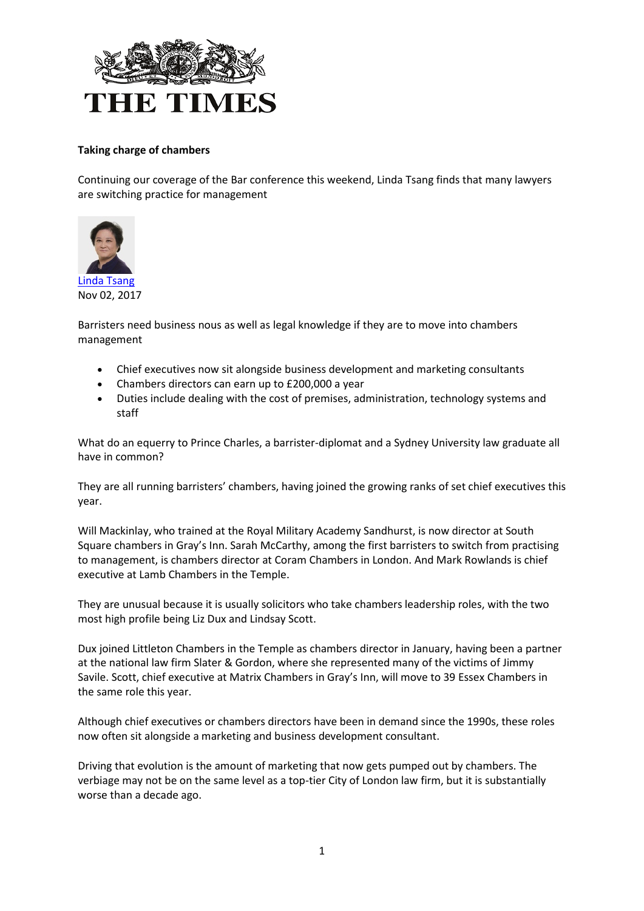

## **Taking charge of chambers**

Continuing our coverage of the Bar conference this weekend, Linda Tsang finds that many lawyers are switching practice for management



Barristers need business nous as well as legal knowledge if they are to move into chambers management

- Chief executives now sit alongside business development and marketing consultants
- Chambers directors can earn up to £200,000 a year
- Duties include dealing with the cost of premises, administration, technology systems and staff

What do an equerry to Prince Charles, a barrister-diplomat and a Sydney University law graduate all have in common?

They are all running barristers' chambers, having joined the growing ranks of set chief executives this year.

Will Mackinlay, who trained at the Royal Military Academy Sandhurst, is now director at South Square chambers in Gray's Inn. Sarah McCarthy, among the first barristers to switch from practising to management, is chambers director at Coram Chambers in London. And Mark Rowlands is chief executive at Lamb Chambers in the Temple.

They are unusual because it is usually solicitors who take chambers leadership roles, with the two most high profile being Liz Dux and Lindsay Scott.

Dux joined Littleton Chambers in the Temple as chambers director in January, having been a partner at the national law firm Slater & Gordon, where she represented many of the victims of Jimmy Savile. Scott, chief executive at Matrix Chambers in Gray's Inn, will move to 39 Essex Chambers in the same role this year.

Although chief executives or chambers directors have been in demand since the 1990s, these roles now often sit alongside a marketing and business development consultant.

Driving that evolution is the amount of marketing that now gets pumped out by chambers. The verbiage may not be on the same level as a top-tier City of London law firm, but it is substantially worse than a decade ago.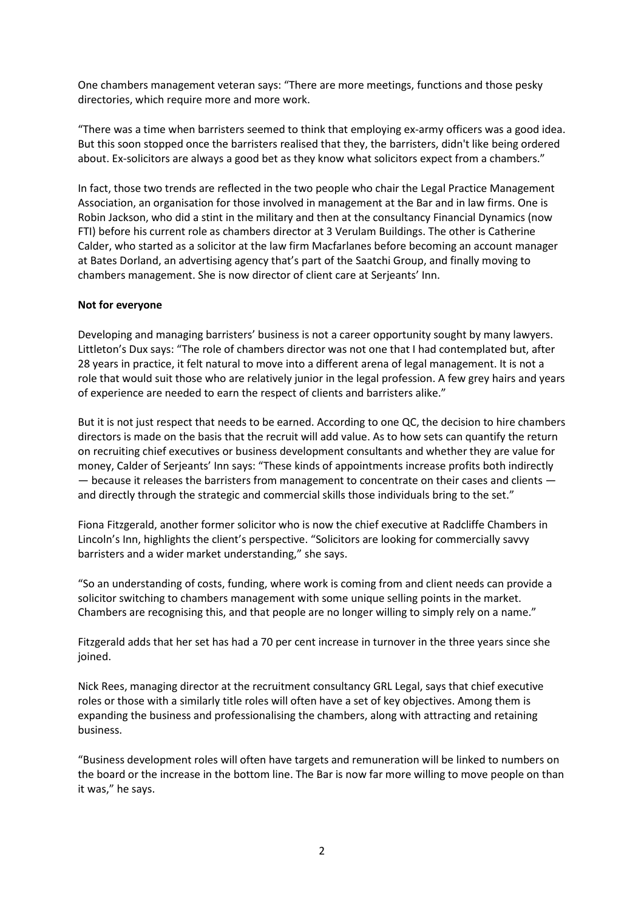One chambers management veteran says: "There are more meetings, functions and those pesky directories, which require more and more work.

"There was a time when barristers seemed to think that employing ex-army officers was a good idea. But this soon stopped once the barristers realised that they, the barristers, didn't like being ordered about. Ex-solicitors are always a good bet as they know what solicitors expect from a chambers."

In fact, those two trends are reflected in the two people who chair the Legal Practice Management Association, an organisation for those involved in management at the Bar and in law firms. One is Robin Jackson, who did a stint in the military and then at the consultancy Financial Dynamics (now FTI) before his current role as chambers director at 3 Verulam Buildings. The other is Catherine Calder, who started as a solicitor at the law firm Macfarlanes before becoming an account manager at Bates Dorland, an advertising agency that's part of the Saatchi Group, and finally moving to chambers management. She is now director of client care at Serjeants' Inn.

## **Not for everyone**

Developing and managing barristers' business is not a career opportunity sought by many lawyers. Littleton's Dux says: "The role of chambers director was not one that I had contemplated but, after 28 years in practice, it felt natural to move into a different arena of legal management. It is not a role that would suit those who are relatively junior in the legal profession. A few grey hairs and years of experience are needed to earn the respect of clients and barristers alike."

But it is not just respect that needs to be earned. According to one QC, the decision to hire chambers directors is made on the basis that the recruit will add value. As to how sets can quantify the return on recruiting chief executives or business development consultants and whether they are value for money, Calder of Serjeants' Inn says: "These kinds of appointments increase profits both indirectly — because it releases the barristers from management to concentrate on their cases and clients and directly through the strategic and commercial skills those individuals bring to the set."

Fiona Fitzgerald, another former solicitor who is now the chief executive at Radcliffe Chambers in Lincoln's Inn, highlights the client's perspective. "Solicitors are looking for commercially savvy barristers and a wider market understanding," she says.

"So an understanding of costs, funding, where work is coming from and client needs can provide a solicitor switching to chambers management with some unique selling points in the market. Chambers are recognising this, and that people are no longer willing to simply rely on a name."

Fitzgerald adds that her set has had a 70 per cent increase in turnover in the three years since she joined.

Nick Rees, managing director at the recruitment consultancy GRL Legal, says that chief executive roles or those with a similarly title roles will often have a set of key objectives. Among them is expanding the business and professionalising the chambers, along with attracting and retaining business.

"Business development roles will often have targets and remuneration will be linked to numbers on the board or the increase in the bottom line. The Bar is now far more willing to move people on than it was," he says.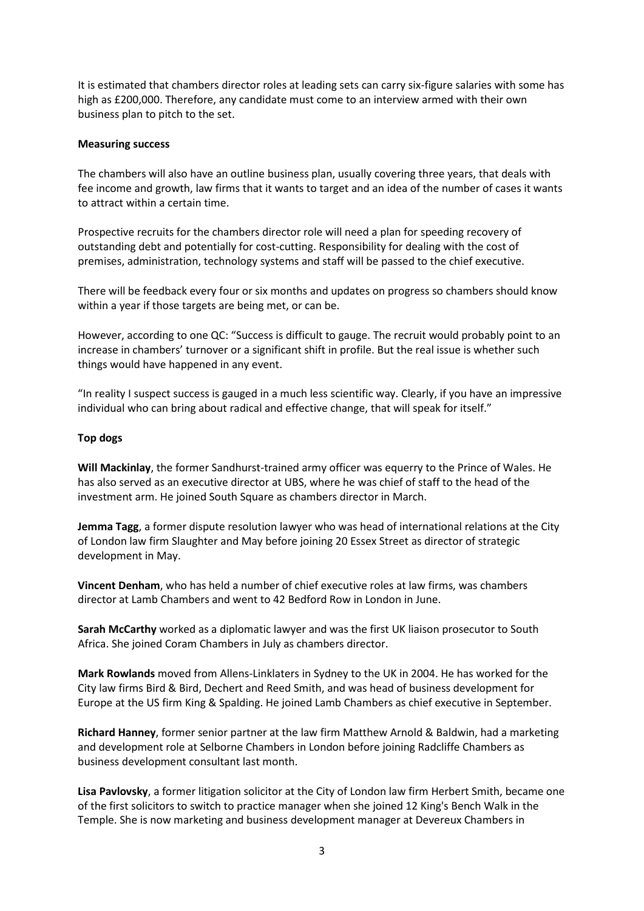It is estimated that chambers director roles at leading sets can carry six-figure salaries with some has high as £200,000. Therefore, any candidate must come to an interview armed with their own business plan to pitch to the set.

## **Measuring success**

The chambers will also have an outline business plan, usually covering three years, that deals with fee income and growth, law firms that it wants to target and an idea of the number of cases it wants to attract within a certain time.

Prospective recruits for the chambers director role will need a plan for speeding recovery of outstanding debt and potentially for cost-cutting. Responsibility for dealing with the cost of premises, administration, technology systems and staff will be passed to the chief executive.

There will be feedback every four or six months and updates on progress so chambers should know within a year if those targets are being met, or can be.

However, according to one QC: "Success is difficult to gauge. The recruit would probably point to an increase in chambers' turnover or a significant shift in profile. But the real issue is whether such things would have happened in any event.

"In reality I suspect success is gauged in a much less scientific way. Clearly, if you have an impressive individual who can bring about radical and effective change, that will speak for itself."

## **Top dogs**

**Will Mackinlay**, the former Sandhurst-trained army officer was equerry to the Prince of Wales. He has also served as an executive director at UBS, where he was chief of staff to the head of the investment arm. He joined South Square as chambers director in March.

**Jemma Tagg**, a former dispute resolution lawyer who was head of international relations at the City of London law firm Slaughter and May before joining 20 Essex Street as director of strategic development in May.

**Vincent Denham**, who has held a number of chief executive roles at law firms, was chambers director at Lamb Chambers and went to 42 Bedford Row in London in June.

**Sarah McCarthy** worked as a diplomatic lawyer and was the first UK liaison prosecutor to South Africa. She joined Coram Chambers in July as chambers director.

**Mark Rowlands** moved from Allens-Linklaters in Sydney to the UK in 2004. He has worked for the City law firms Bird & Bird, Dechert and Reed Smith, and was head of business development for Europe at the US firm King & Spalding. He joined Lamb Chambers as chief executive in September.

**Richard Hanney**, former senior partner at the law firm Matthew Arnold & Baldwin, had a marketing and development role at Selborne Chambers in London before joining Radcliffe Chambers as business development consultant last month.

**Lisa Pavlovsky**, a former litigation solicitor at the City of London law firm Herbert Smith, became one of the first solicitors to switch to practice manager when she joined 12 King's Bench Walk in the Temple. She is now marketing and business development manager at Devereux Chambers in